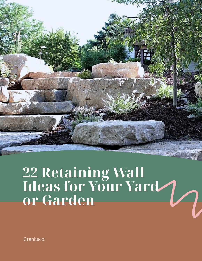

# 22 Retaining Wall Ideas for Your Yard or Garden

Graniteco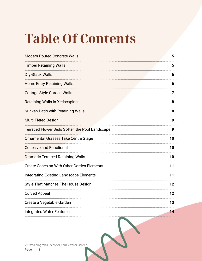# Table Of Contents

| <b>Modern Poured Concrete Walls</b>               | 5  |
|---------------------------------------------------|----|
| <b>Timber Retaining Walls</b>                     | 5  |
| <b>Dry-Stack Walls</b>                            | 6  |
| <b>Home Entry Retaining Walls</b>                 | 6  |
| <b>Cottage-Style Garden Walls</b>                 | 7  |
| <b>Retaining Walls in Xeriscaping</b>             | 8  |
| <b>Sunken Patio with Retaining Walls</b>          | 8  |
| Multi-Tiered Design                               | 9  |
| Terraced Flower Beds Soften the Pool Landscape    | 9  |
| <b>Ornamental Grasses Take Centre Stage</b>       | 10 |
| <b>Cohesive and Functional</b>                    | 10 |
| <b>Dramatic Terraced Retaining Walls</b>          | 10 |
| <b>Create Cohesion With Other Garden Elements</b> | 11 |
| <b>Integrating Existing Landscape Elements</b>    | 11 |
| <b>Style That Matches The House Design</b>        | 12 |
| <b>Curved Appeal</b>                              | 12 |
| Create a Vegetable Garden                         | 13 |
| <b>Integrated Water Features</b>                  | 14 |
|                                                   |    |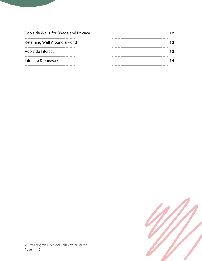| Poolside Walls for Shade and Privacy |    |
|--------------------------------------|----|
| Retaining Wall Around a Pond         | 13 |
| Poolside Interest                    | 13 |
| <b>Intricate Stonework</b>           | 14 |
|                                      |    |

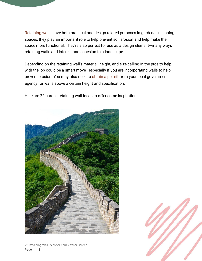[Retaining walls](https://retainingwallcontractors.co/) have both practical and design-related purposes in gardens. In sloping spaces, they play an important role to help prevent soil erosion and help make the space more functional. They're also perfect for use as a design element—many ways retaining walls add interest and cohesion to a landscape.

Depending on the retaining wall's material, height, and size calling in the pros to help with the job could be a smart move—especially if you are incorporating walls to help prevent erosion. You may also need to obtain a permit from your local government agency for walls above a certain height and specification.

Here are 22 garden retaining wall ideas to offer some inspiration.



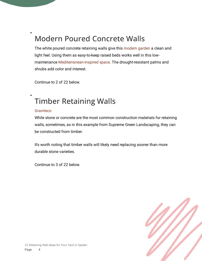#### <span id="page-4-0"></span>Modern Poured Concrete Walls

The white poured concrete retaining walls give this modern garden a clean and light feel. Using them as easy-to-keep raised beds works well in this lowmaintenance Mediterranean-inspired space. The drought-resistant palms and shrubs add color and interest.

Continue to 2 of 22 below.

# <span id="page-4-1"></span>Timber Retaining Walls

#### **[Graniteco](https://retainingwallcontractors.co/services/)**

While stone or concrete are the most common construction materials for retaining walls, sometimes, as in this example from Supreme Green Landscaping, they can be constructed from timber.

It's worth noting that timber walls will likely need replacing sooner than more durable stone varieties.

Continue to 3 of 22 below.

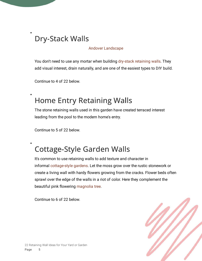#### <span id="page-5-0"></span>Dry-Stack Walls

[Andover Landscape](https://retainingwallcontractors.co/minnesota/andover/index.php)

You don't need to use any mortar when building dry-stack retaining walls. They add visual interest, drain naturally, and are one of the easiest types to DIY build.

Continue to 4 of 22 below.

# <span id="page-5-1"></span>Home Entry Retaining Walls

The stone retaining walls used in this garden have created terraced interest leading from the pool to the modern home's entry.

Continue to 5 of 22 below.

### <span id="page-5-2"></span>Cottage-Style Garden Walls

It's common to use retaining walls to add texture and character in informal cottage-style gardens. Let the moss grow over the rustic stonework or create a living wall with hardy flowers growing from the cracks. Flower beds often sprawl over the edge of the walls in a riot of color. Here they complement the beautifulpink flowering magnolia tree.

Continue to 6 of 22 below.

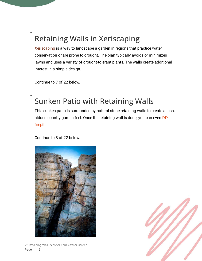## <span id="page-6-0"></span>Retaining Walls in Xeriscaping

[Xeriscaping](https://retainingwallcontractors.co/uncategorized/minnesota-maintaining-wall-surface-firm/) is a way to landscape a garden in regions that practice water conservation or are prone to drought. The plan typically avoids or minimizes lawns and uses a variety of drought-tolerant plants. The walls create additional interest in a simple design.

Continue to 7 of 22 below.

#### <span id="page-6-1"></span>Sunken Patio with Retaining Walls

This sunken patio is surrounded by natural stone retaining walls to create a lush, [hidden country garden feel. Once the retaining wall is done, you can even DIY a](https://retainingwallcontractors.co/construction/retaining-wall-contractor/) firepit.

Continue to 8 of 22 below.



Page 6 22 Retaining Wall Ideas for Your Yard or Garden

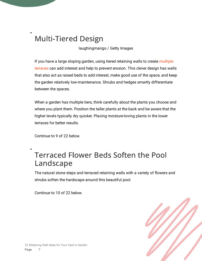#### <span id="page-7-0"></span>Multi-Tiered Design

laughingmango / Getty Images

If you have a large sloping garden, using tiered retaining walls to create multiple terraces [can add interest and help to prevent erosion. This clever design has wal](https://retainingwallcontractors.co/)ls that also act as raised beds to add interest, make good use of the space, and keep the garden relatively low-maintenance. Shrubs and hedges smartly differentiate between the spaces.

When a garden has multiple tiers, think carefully about the plants you choose and where you plant them. Position the taller plants at the back and be aware that the higher levels typically dry quicker. Placing moisture-loving plants in the lower terraces for better results.

Continue to 9 of 22 below.

#### <span id="page-7-1"></span>Terraced Flower Beds Soften the Pool Landscape

The natural stone steps and terraced retaining walls with a variety of flowers and shrubs soften the hardscape around this beautiful pool.

Continue to 10 of 22 below.

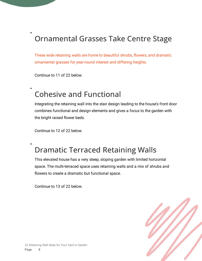#### <span id="page-8-0"></span>Ornamental Grasses Take Centre Stage

These wide retaining walls are home to beautiful shrubs, flowers, and dramatic [ornamental grasses](https://retainingwallcontractors.co/) [for year-round interest and differing heights.](https://retainingwallcontractors.co/services/)

Continue to 11 of 22 below.

#### <span id="page-8-1"></span>Cohesive and Functional

Integrating the retaining wall into the stair design leading to the house's front door combines functional and design elements and gives a focus to the garden with the bright raised flower beds.

Continue to 12 of 22 below.

#### <span id="page-8-2"></span>Dramatic Terraced Retaining Walls

This elevated house has a very steep, sloping garden with limited horizontal space. The multi-terraced space uses retaining walls and a mix of shrubs and flowers to create a dramatic but functional space.

Continue to 13 of 22 below.

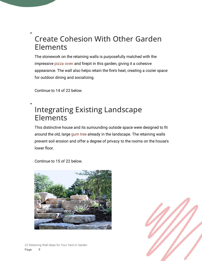#### <span id="page-9-0"></span>Create Cohesion With Other Garden Elements

The stonework on the retaining walls is purposefully matched with the impressive pizza oven and firepit in this garden, giving it a cohesive appearance. The wall also helps retain the fire's heat, creating a cozier space for outdoor dining and socializing.

Continue to 14 of 22 below.

#### <span id="page-9-1"></span>Integrating Existing Landscape Elements

This distinctive house and its surrounding outside space were designed to fit around the old, large gum tree already in the landscape. The retaining walls prevent soil erosion and offer a degree of privacy to the rooms on the house's lower floor.

Continue to 15 of 22 below.





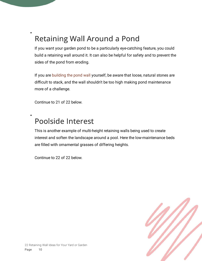## <span id="page-10-0"></span>Retaining Wall Around a Pond

If you want your garden pond to be a particularly eye-catching feature, you could build a retaining wall around it. It can also be helpful for safety and to prevent the sides of the pond from eroding.

If you are building the pond wall yourself, be aware that loose, natural stones are difficult to stack, and the wall shouldn't be too high making pond maintenance more of a challenge.

Continue to 21 of 22 below.

#### <span id="page-10-1"></span>Poolside Interest

This is another example of multi-height retaining walls being used to create interest and soften the landscape around a pool. Here the low-maintenance beds are filled with ornamental grasses of differing heights.

Continue to 22 of 22 below.

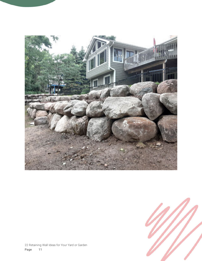